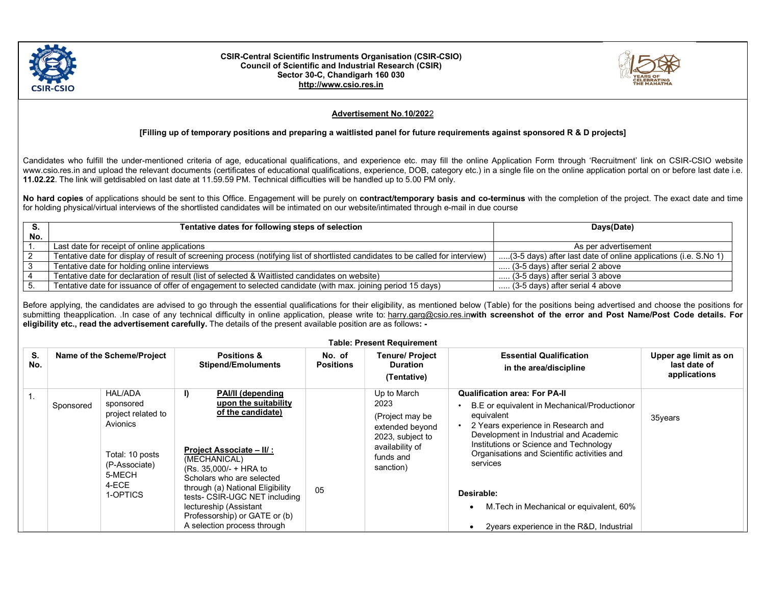

## CSIR-Central Scientific Instruments Organisation (CSIR-CSIO) Council of Scientific and Industrial Research (CSIR) Sector 30-C, Chandigarh 160 030 http://www.csio.res.in



## Advertisement No.10/2022

## [Filling up of temporary positions and preparing a waitlisted panel for future requirements against sponsored R & D projects]

Candidates who fulfill the under-mentioned criteria of age, educational qualifications, and experience etc. may fill the online Application Form through 'Recruitment' link on CSIR-CSIO website www.csio.res.in and upload the relevant documents (certificates of educational qualifications, experience, DOB, category etc.) in a single file on the online application portal on or before last date i.e. 11.02.22. The link will getdisabled on last date at 11.59.59 PM. Technical difficulties will be handled up to 5.00 PM only.

No hard copies of applications should be sent to this Office. Engagement will be purely on contract/temporary basis and co-terminus with the completion of the project. The exact date and time for holding physical/virtual interviews of the shortlisted candidates will be intimated on our website/intimated through e-mail in due course

|     | Tentative dates for following steps of selection                                                                                | Days(Date)                                                      |  |
|-----|---------------------------------------------------------------------------------------------------------------------------------|-----------------------------------------------------------------|--|
| No. |                                                                                                                                 |                                                                 |  |
|     | Last date for receipt of online applications                                                                                    | As per advertisement                                            |  |
|     | Tentative date for display of result of screening process (notifying list of shortlisted candidates to be called for interview) | (3-5 days) after last date of online applications (i.e. S.No 1) |  |
|     | Tentative date for holding online interviews                                                                                    | (3-5 days) after serial 2 above                                 |  |
|     | Tentative date for declaration of result (list of selected & Waitlisted candidates on website)                                  | $\ldots$ (3-5 days) after serial 3 above                        |  |
|     | Tentative date for issuance of offer of engagement to selected candidate (with max. joining period 15 days)                     | $\ldots$ (3-5 days) after serial 4 above                        |  |

Before applying, the candidates are advised to go through the essential qualifications for their eligibility, as mentioned below (Table) for the positions being advertised and choose the positions for submitting theapplication. In case of any technical difficulty in online application, please write to: harry.garg@csio.res.inwith screenshot of the error and Post Name/Post Code details. For eligibility etc., read the advertisement carefully. The details of the present available position are as follows: -

| <b>Table: Present Requirement</b> |           |                                                                                                                                  |                                                                                                                                                                                                                                                                                                                                                       |                            |                                                                                                                            |                                                                                                                                                                                                                                                                                                                                                                                                |                                                       |
|-----------------------------------|-----------|----------------------------------------------------------------------------------------------------------------------------------|-------------------------------------------------------------------------------------------------------------------------------------------------------------------------------------------------------------------------------------------------------------------------------------------------------------------------------------------------------|----------------------------|----------------------------------------------------------------------------------------------------------------------------|------------------------------------------------------------------------------------------------------------------------------------------------------------------------------------------------------------------------------------------------------------------------------------------------------------------------------------------------------------------------------------------------|-------------------------------------------------------|
| S.<br>No.                         |           | Name of the Scheme/Project                                                                                                       | <b>Positions &amp;</b><br><b>Stipend/Emoluments</b>                                                                                                                                                                                                                                                                                                   | No. of<br><b>Positions</b> | <b>Tenure/ Project</b><br><b>Duration</b><br>(Tentative)                                                                   | <b>Essential Qualification</b><br>in the area/discipline                                                                                                                                                                                                                                                                                                                                       | Upper age limit as on<br>last date of<br>applications |
|                                   | Sponsored | <b>HAL/ADA</b><br>sponsored<br>project related to<br>Avionics<br>Total: 10 posts<br>(P-Associate)<br>5-MECH<br>4-ECE<br>1-OPTICS | I)<br><b>PAI/II (depending</b><br>upon the suitability<br>of the candidate)<br><b>Project Associate – II/ :</b><br>(MECHANICAL)<br>(Rs. 35.000/- + HRA to<br>Scholars who are selected<br>through (a) National Eligibility<br>tests- CSIR-UGC NET including<br>lectureship (Assistant<br>Professorship) or GATE or (b)<br>A selection process through | 05                         | Up to March<br>2023<br>(Project may be<br>extended beyond<br>2023, subject to<br>availability of<br>funds and<br>sanction) | <b>Qualification area: For PA-II</b><br>B.E or equivalent in Mechanical/Productionor<br>equivalent<br>2 Years experience in Research and<br>Development in Industrial and Academic<br>Institutions or Science and Technology<br>Organisations and Scientific activities and<br>services<br>Desirable:<br>M. Tech in Mechanical or equivalent, 60%<br>2 years experience in the R&D, Industrial | 35years                                               |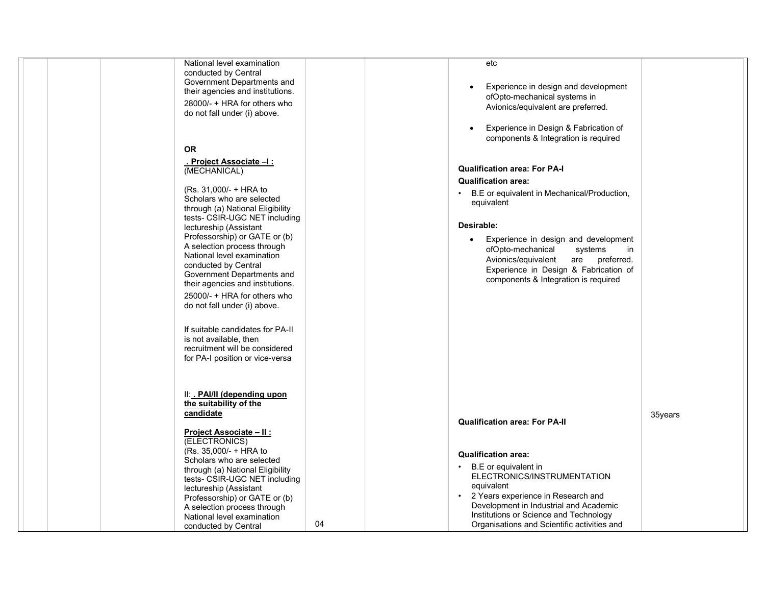| National level examination<br>conducted by Central<br>Government Departments and<br>their agencies and institutions.<br>28000/- + HRA for others who<br>do not fall under (i) above.<br><b>OR</b><br>. Project Associate –I :<br>(MECHANICAL)<br>(Rs. 31,000/- + HRA to<br>Scholars who are selected<br>through (a) National Eligibility<br>tests- CSIR-UGC NET including<br>lectureship (Assistant<br>Professorship) or GATE or (b)<br>A selection process through |    | etc<br>Experience in design and development<br>$\bullet$<br>ofOpto-mechanical systems in<br>Avionics/equivalent are preferred.<br>Experience in Design & Fabrication of<br>$\bullet$<br>components & Integration is required<br><b>Qualification area: For PA-I</b><br><b>Qualification area:</b><br>B.E or equivalent in Mechanical/Production,<br>equivalent<br>Desirable:<br>Experience in design and development<br>$\bullet$ |         |
|---------------------------------------------------------------------------------------------------------------------------------------------------------------------------------------------------------------------------------------------------------------------------------------------------------------------------------------------------------------------------------------------------------------------------------------------------------------------|----|-----------------------------------------------------------------------------------------------------------------------------------------------------------------------------------------------------------------------------------------------------------------------------------------------------------------------------------------------------------------------------------------------------------------------------------|---------|
| National level examination<br>conducted by Central<br>Government Departments and<br>their agencies and institutions.<br>25000/- + HRA for others who<br>do not fall under (i) above.<br>If suitable candidates for PA-II<br>is not available, then<br>recruitment will be considered<br>for PA-I position or vice-versa                                                                                                                                             |    | ofOpto-mechanical<br>systems<br>in<br>Avionics/equivalent<br>are<br>preferred.<br>Experience in Design & Fabrication of<br>components & Integration is required                                                                                                                                                                                                                                                                   |         |
| II: . PAI/II (depending upon<br>the suitability of the<br>candidate<br><b>Project Associate – II:</b><br>(ELECTRONICS)<br>(Rs. 35,000/- + HRA to<br>Scholars who are selected<br>through (a) National Eligibility<br>tests- CSIR-UGC NET including<br>lectureship (Assistant<br>Professorship) or GATE or (b)<br>A selection process through<br>National level examination<br>conducted by Central                                                                  | 04 | <b>Qualification area: For PA-II</b><br><b>Qualification area:</b><br>B.E or equivalent in<br>ELECTRONICS/INSTRUMENTATION<br>equivalent<br>2 Years experience in Research and<br>$\bullet$<br>Development in Industrial and Academic<br>Institutions or Science and Technology<br>Organisations and Scientific activities and                                                                                                     | 35years |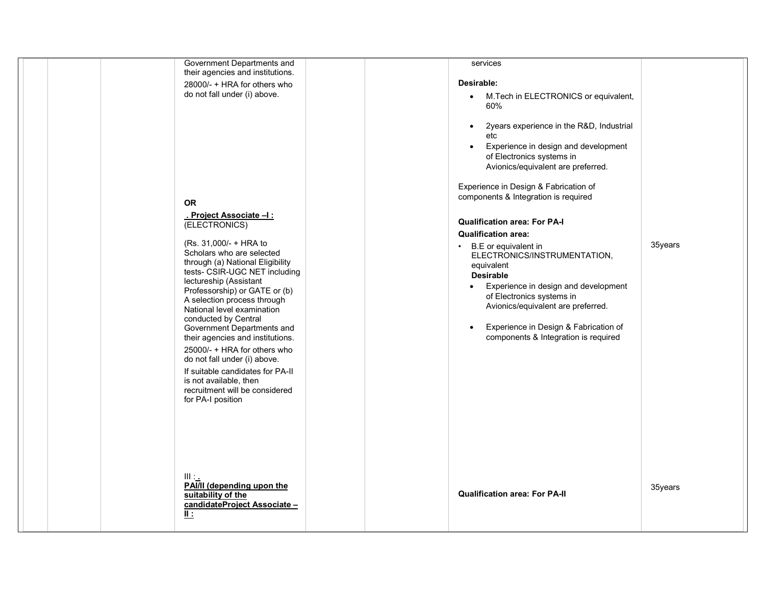| Government Departments and<br>their agencies and institutions.<br>28000/- + HRA for others who<br>do not fall under (i) above.<br>OR<br>. Project Associate –I :<br>(ELECTRONICS)<br>(Rs. 31,000/- + HRA to<br>Scholars who are selected<br>through (a) National Eligibility<br>tests- CSIR-UGC NET including<br>lectureship (Assistant<br>Professorship) or GATE or (b)<br>A selection process through<br>National level examination<br>conducted by Central<br>Government Departments and<br>their agencies and institutions.<br>25000/- + HRA for others who<br>do not fall under (i) above.<br>If suitable candidates for PA-II<br>is not available, then<br>recruitment will be considered<br>for PA-I position | services<br>Desirable:<br>M.Tech in ELECTRONICS or equivalent,<br>$\bullet$<br>60%<br>2years experience in the R&D, Industrial<br>$\bullet$<br>etc<br>Experience in design and development<br>$\bullet$<br>of Electronics systems in<br>Avionics/equivalent are preferred.<br>Experience in Design & Fabrication of<br>components & Integration is required<br><b>Qualification area: For PA-I</b><br><b>Qualification area:</b><br>• B.E or equivalent in<br>ELECTRONICS/INSTRUMENTATION,<br>equivalent<br><b>Desirable</b><br>Experience in design and development<br>of Electronics systems in<br>Avionics/equivalent are preferred.<br>Experience in Design & Fabrication of<br>components & Integration is required | 35years |
|----------------------------------------------------------------------------------------------------------------------------------------------------------------------------------------------------------------------------------------------------------------------------------------------------------------------------------------------------------------------------------------------------------------------------------------------------------------------------------------------------------------------------------------------------------------------------------------------------------------------------------------------------------------------------------------------------------------------|--------------------------------------------------------------------------------------------------------------------------------------------------------------------------------------------------------------------------------------------------------------------------------------------------------------------------------------------------------------------------------------------------------------------------------------------------------------------------------------------------------------------------------------------------------------------------------------------------------------------------------------------------------------------------------------------------------------------------|---------|
| Ш.<br>PAI/II (depending upon the<br>suitability of the<br>candidateProject Associate-<br>正                                                                                                                                                                                                                                                                                                                                                                                                                                                                                                                                                                                                                           | <b>Qualification area: For PA-II</b>                                                                                                                                                                                                                                                                                                                                                                                                                                                                                                                                                                                                                                                                                     | 35years |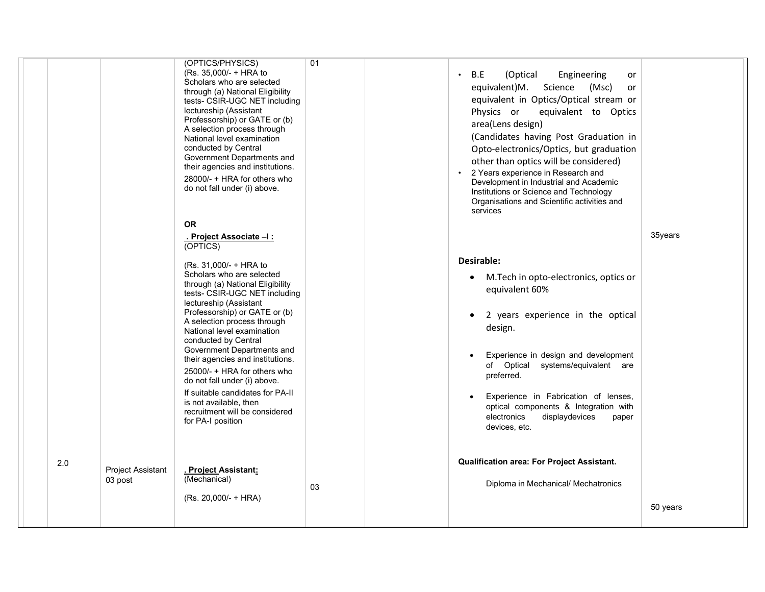|     |                              | (OPTICS/PHYSICS)<br>(Rs. 35,000/- + HRA to<br>Scholars who are selected<br>through (a) National Eligibility<br>tests- CSIR-UGC NET including<br>lectureship (Assistant<br>Professorship) or GATE or (b)<br>A selection process through<br>National level examination<br>conducted by Central<br>Government Departments and<br>their agencies and institutions.<br>28000/- + HRA for others who<br>do not fall under (i) above.                                                                                                                                                      | 01 | B.E<br>(Optical<br>Engineering<br>or<br>equivalent)M. Science<br>(Msc)<br>or<br>equivalent in Optics/Optical stream or<br>Physics or<br>equivalent to Optics<br>area(Lens design)<br>(Candidates having Post Graduation in<br>Opto-electronics/Optics, but graduation<br>other than optics will be considered)<br>2 Years experience in Research and<br>Development in Industrial and Academic<br>Institutions or Science and Technology<br>Organisations and Scientific activities and<br>services |          |
|-----|------------------------------|-------------------------------------------------------------------------------------------------------------------------------------------------------------------------------------------------------------------------------------------------------------------------------------------------------------------------------------------------------------------------------------------------------------------------------------------------------------------------------------------------------------------------------------------------------------------------------------|----|-----------------------------------------------------------------------------------------------------------------------------------------------------------------------------------------------------------------------------------------------------------------------------------------------------------------------------------------------------------------------------------------------------------------------------------------------------------------------------------------------------|----------|
|     |                              | <b>OR</b><br>. Project Associate -I:<br>(OPTICS)<br>(Rs. 31,000/- + HRA to<br>Scholars who are selected<br>through (a) National Eligibility<br>tests- CSIR-UGC NET including<br>lectureship (Assistant<br>Professorship) or GATE or (b)<br>A selection process through<br>National level examination<br>conducted by Central<br>Government Departments and<br>their agencies and institutions.<br>25000/- + HRA for others who<br>do not fall under (i) above.<br>If suitable candidates for PA-II<br>is not available, then<br>recruitment will be considered<br>for PA-I position |    | Desirable:<br>M. Tech in opto-electronics, optics or<br>$\bullet$<br>equivalent 60%<br>2 years experience in the optical<br>$\bullet$<br>design.<br>Experience in design and development<br>of Optical systems/equivalent are<br>preferred.<br>Experience in Fabrication of lenses,<br>optical components & Integration with<br>displaydevices<br>electronics<br>paper<br>devices, etc.                                                                                                             | 35years  |
| 2.0 | Project Assistant<br>03 post | . Project Assistant:<br>(Mechanical)<br>(Rs. 20,000/- + HRA)                                                                                                                                                                                                                                                                                                                                                                                                                                                                                                                        | 03 | Qualification area: For Project Assistant.<br>Diploma in Mechanical/ Mechatronics                                                                                                                                                                                                                                                                                                                                                                                                                   | 50 years |